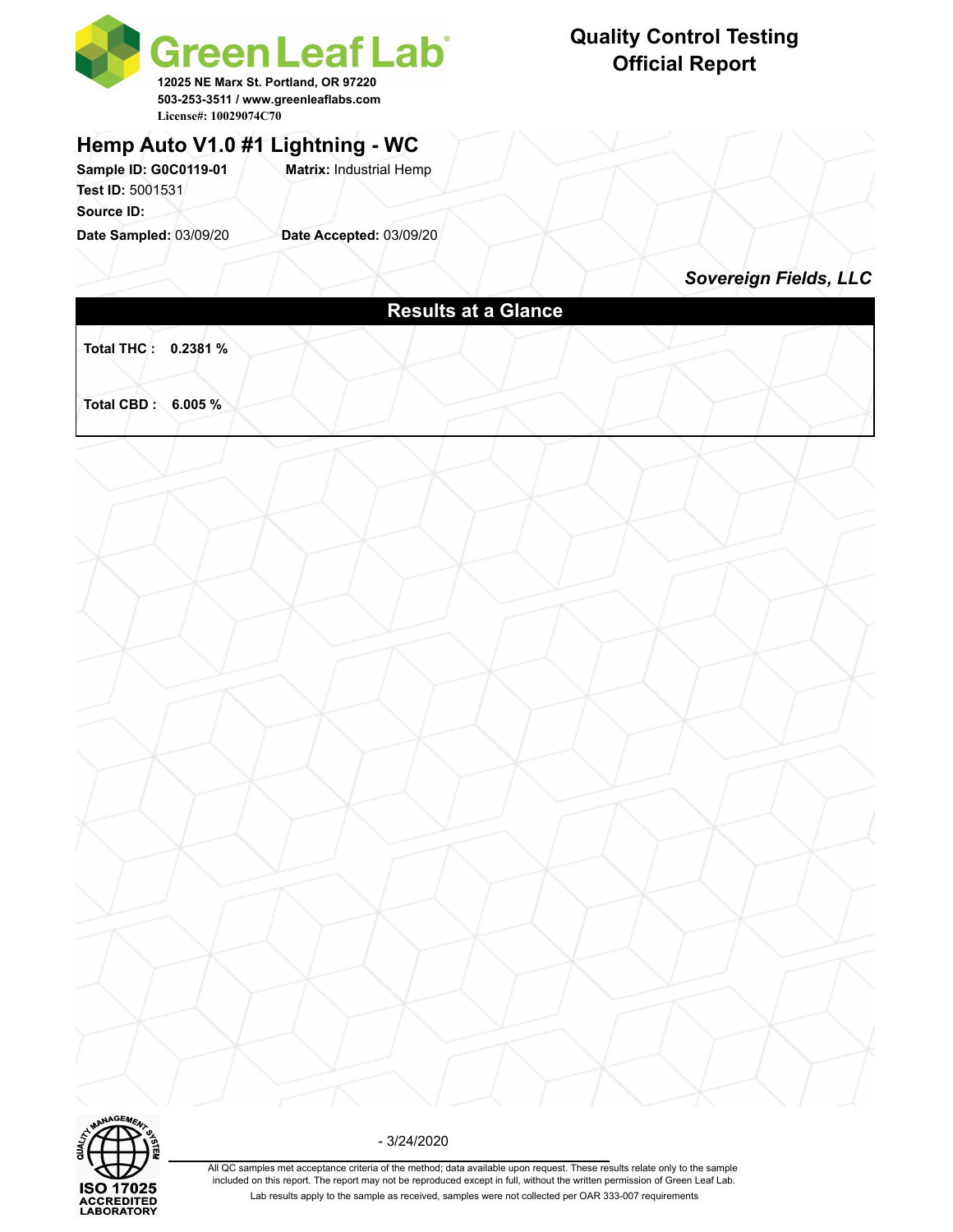

# **Quality Control Testing Official Report**

### **Hemp Auto V1.0 #1 Lightning - WC**

**Sample ID: G0C0119-01 Matrix:** Industrial Hemp **Test ID:** 5001531 **Source ID:** 

**Date Sampled:** 03/09/20 **Date Accepted:** 03/09/20

*Sovereign Fields, LLC*

# **Results at a Glance Total THC : 0.2381 % Total CBD : 6.005 %**



- 3/24/2020

All QC samples met acceptance criteria of the method; data available upon request. These results relate only to the sample included on this report. The report may not be reproduced except in full, without the written permission of Green Leaf Lab. Lab results apply to the sample as received, samples were not collected per OAR 333-007 requirements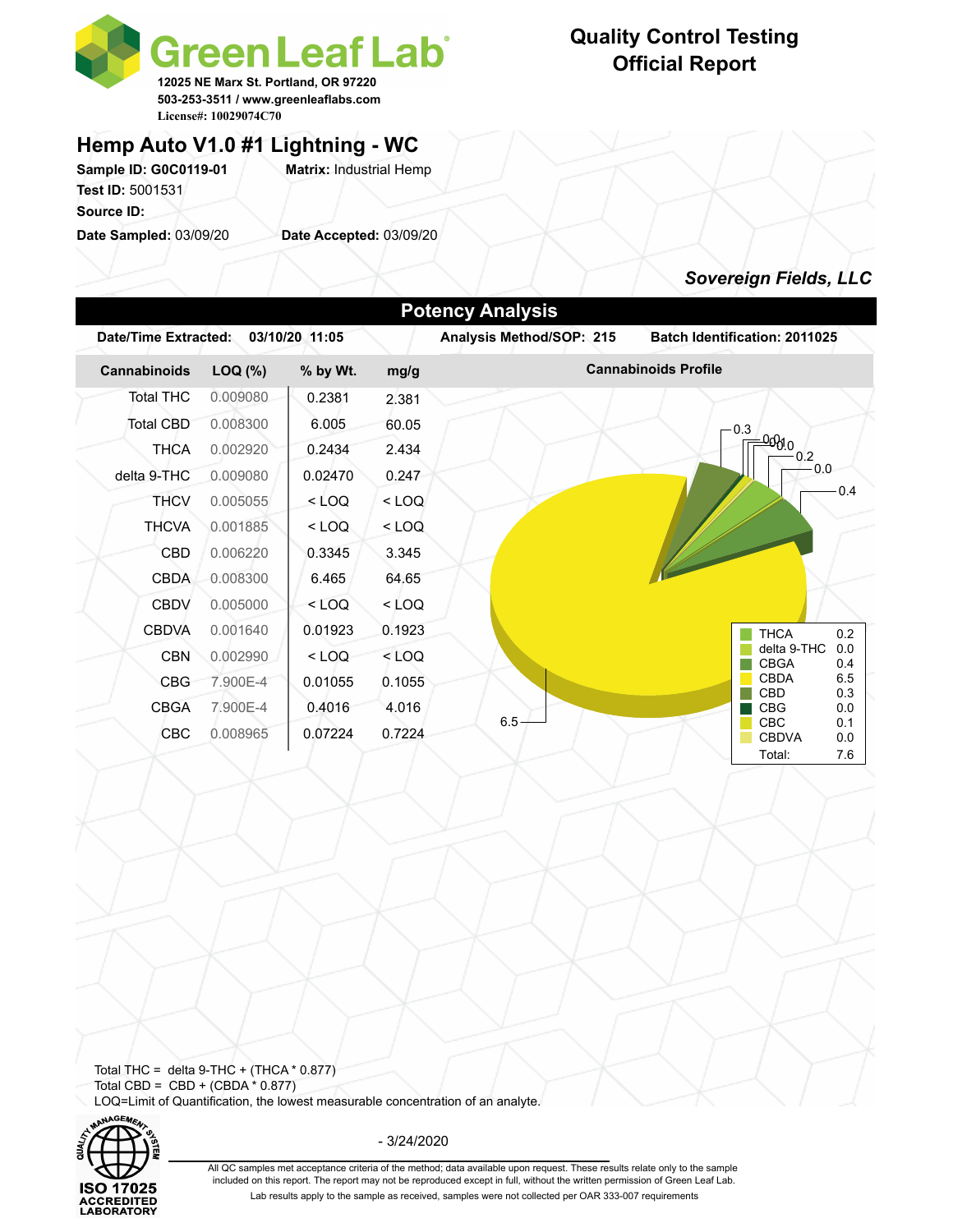

# **Quality Control Testing Official Report**

### **Hemp Auto V1.0 #1 Lightning - WC**

Sample ID: G0C0119-01 **Matrix: Industrial Hemp Test ID:** 5001531 **Source ID:** 

**Date Sampled:** 03/09/20 **Date Accepted:** 03/09/20

### *Sovereign Fields, LLC*

|                      |              |                |         | <b>Potency Analysis</b>  |                                                           |
|----------------------|--------------|----------------|---------|--------------------------|-----------------------------------------------------------|
| Date/Time Extracted: |              | 03/10/20 11:05 |         | Analysis Method/SOP: 215 | <b>Batch Identification: 2011025</b>                      |
| Cannabinoids         | $LOQ$ $(\%)$ | % by Wt.       | mg/g    |                          | <b>Cannabinoids Profile</b>                               |
| <b>Total THC</b>     | 0.009080     | 0.2381         | 2.381   |                          |                                                           |
| Total CBD            | 0.008300     | 6.005          | 60.05   |                          | 0.3                                                       |
| <b>THCA</b>          | 0.002920     | 0.2434         | 2.434   |                          | <u>-00810</u><br>$-0.2$                                   |
| delta 9-THC          | 0.009080     | 0.02470        | 0.247   |                          | 0.0                                                       |
| <b>THCV</b>          | 0.005055     | $<$ LOQ        | $<$ LOQ |                          | 0.4                                                       |
| <b>THCVA</b>         | 0.001885     | $<$ LOQ        | $<$ LOQ |                          |                                                           |
| <b>CBD</b>           | 0.006220     | 0.3345         | 3.345   |                          |                                                           |
| <b>CBDA</b>          | 0.008300     | 6.465          | 64.65   |                          |                                                           |
| <b>CBDV</b>          | 0.005000     | $<$ LOQ        | < LOQ   |                          |                                                           |
| <b>CBDVA</b>         | 0.001640     | 0.01923        | 0.1923  |                          | <b>THCA</b><br>0.2                                        |
| <b>CBN</b>           | 0.002990     | $<$ LOQ        | $<$ LOQ |                          | delta 9-THC<br>0.0<br><b>CBGA</b><br>0.4                  |
| <b>CBG</b>           | 7.900E-4     | 0.01055        | 0.1055  |                          | <b>CBDA</b><br>6.5                                        |
| <b>CBGA</b>          | 7.900E-4     | 0.4016         | 4.016   |                          | <b>CBD</b><br>0.3<br><b>CBG</b><br>0.0                    |
| <b>CBC</b>           | 0.008965     | 0.07224        | 0.7224  | 6.5                      | <b>CBC</b><br>0.1<br><b>CBDVA</b><br>0.0<br>Total:<br>7.6 |

Total THC = delta  $9$ -THC + (THCA  $*$  0.877) Total CBD =  $CBD + (CBDA * 0.877)$ LOQ=Limit of Quantification, the lowest measurable concentration of an analyte.



- 3/24/2020

All QC samples met acceptance criteria of the method; data available upon request. These results relate only to the sample included on this report. The report may not be reproduced except in full, without the written permission of Green Leaf Lab. Lab results apply to the sample as received, samples were not collected per OAR 333-007 requirements